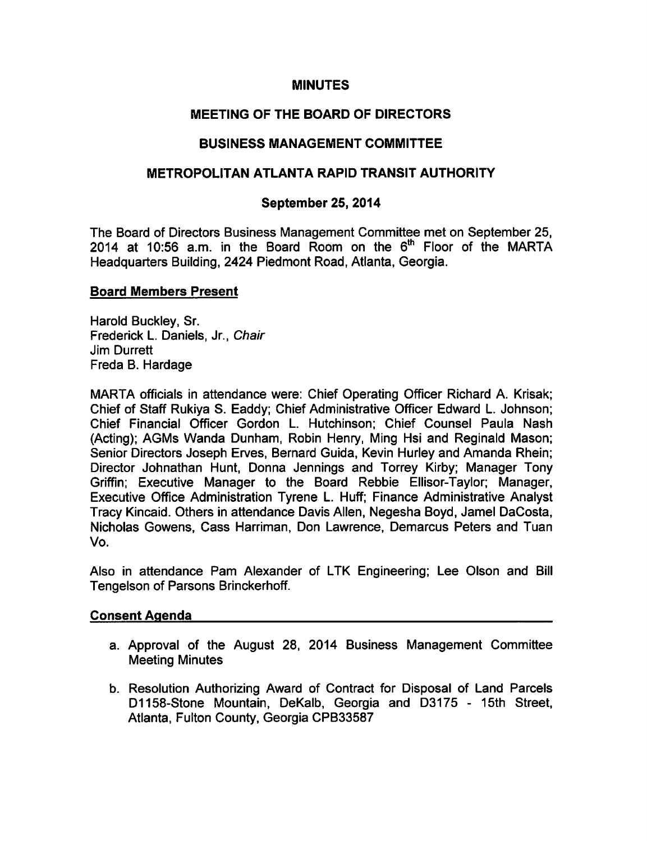### MINUTES

# MEETING OF THE BOARD OF DIRECTORS

## BUSINESS MANAGEMENT COMMITTEE

### METROPOLITAN ATLANTA RAPID TRANSIT AUTHORITY

### September 25, 2014

The Board of Directors Business Management Committee met on September 25, 2014 at 10:56 a.m. in the Board Room on the  $6<sup>th</sup>$  Floor of the MARTA Headquarters Building, 2424 Piedmont Road, Atlanta, Georgia.

#### Board Members Present

Harold Buckley, Sr. Frederick L. Daniels, Jr., Chair Jim Durrett Freda B. Hardage

MARTA officials in attendance were: Chief Operating Officer Richard A. Krisak; Chief of Staff Rukiya S. Eaddy; Chief Administrative Officer Edward L. Johnson; Chief Financial Officer Gordon L. Hutchinson; Chief Counsel Paula Nash (Acting); AGMs Wanda Dunham, Robin Henry, Ming Hsi and Reginald Mason; Senior Directors Joseph Erves, Bernard Guida, Kevin Hurley and Amanda Rhein; Director Johnathan Hunt, Donna Jennings and Torrey Kirby; Manager Tony Griffin; Executive Manager to the Board Rebbie Ellisor-Taylor; Manager, Executive Office Administration Tyrene L. Huff; Finance Administrative Analyst Tracy Kincaid. Others in attendance Davis Allen, Negesha Boyd, Jamel DaCosta, Nicholas Gowens, Cass Harriman, Don Lawrence, Demarcus Peters and Tuan Vo.

Also in attendance Pam Alexander of LTK Engineering; Lee Olson and Bill Tengelson of Parsons Brinckerhoff.

#### Consent Agenda

- a. Approval of the August 28, 2014 Business Management Committee Meeting Minutes
- b. Resolution Authorizing Award of Contract for Disposal of Land Parcels D1158-Stone Mountain, DeKalb, Georgia and D3175 - 15th Street, Atlanta, Fulton County, Georgia CPB33587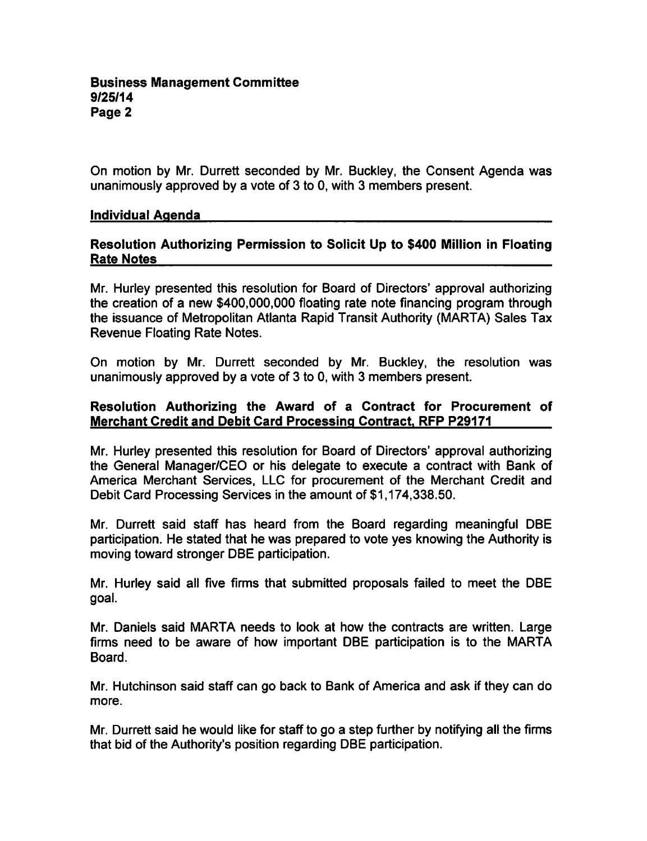On motion by Mr. Durrett seconded by Mr. Buckley, the Consent Agenda was unanimously approved by a vote of 3 to 0, with 3 members present.

#### Individual Agenda

## Resolution Authorizing Permission to Solicit Up to \$400 Million in Floating Rate Notes

Mr. Hurley presented this resolution for Board of Directors' approval authorizing the creation of a new \$400,000,000 floating rate note financing program through the issuance of Metropolitan Atlanta Rapid Transit Authority (MARTA) Sales Tax Revenue Floating Rate Notes.

On motion by Mr. Durrett seconded by Mr. Buckley, the resolution was unanimously approved by a vote of 3 to 0, with 3 members present.

## Resolution Authorizing the Award of a Contract for Procurement of Merchant Credit and Debit Card Processing Contract, RFP P29171

Mr. Hurley presented this resolution for Board of Directors' approval authorizing the General Manager/CEO or his delegate to execute a contract with Bank of America Merchant Services, LLC for procurement of the Merchant Credit and Debit Card Processing Services in the amount of \$1,174,338.50.

Mr. Durrett said staff has heard from the Board regarding meaningful DBE participation. He stated that he was prepared to vote yes knowing the Authority is moving toward stronger DBE participation.

Mr. Hurley said all five firms that submitted proposals failed to meet the DBE goal.

Mr. Daniels said MARTA needs to look at how the contracts are written. Large firms need to be aware of how important DBE participation is to the MARTA Board.

Mr. Hutchinson said staff can go back to Bank of America and ask if they can do more.

Mr. Durrett said he would like for staff to go a step further by notifying all the firms that bid of the Authority's position regarding DBE participation.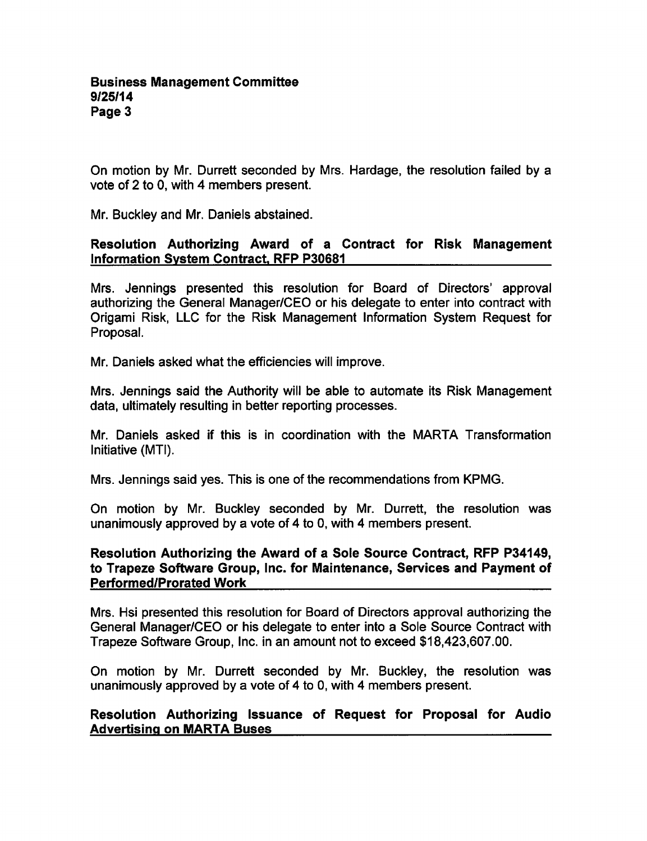On motion by Mr. Durrett seconded by Mrs. Hardage, the resolution failed by a vote of 2 to 0, with 4 members present.

Mr. Buckley and Mr. Daniels abstained.

## Resolution Authorizing Award of a Contract for Risk Management Information System Contract. RFP P30681

Mrs. Jennings presented this resolution for Board of Directors' approval authorizing the General Manager/CEO or his delegate to enter into contract with Origami Risk, LLC for the Risk Management Information System Request for Proposal.

Mr. Daniels asked what the efficiencies will improve.

Mrs. Jennings said the Authority will be able to automate its Risk Management data, ultimately resulting in better reporting processes.

Mr. Daniels asked if this is in coordination with the MARTA Transformation Initiative (MTI).

Mrs. Jennings said yes. This is one of the recommendations from KPMG.

On motion by Mr. Buckley seconded by Mr. Durrett, the resolution was unanimously approved by a vote of 4 to 0, with 4 members present.

### Resolution Authorizing the Award of a Sole Source Contract, RFP P34149, to Trapeze Software Group, Inc. for Maintenance, Services and Payment of Performed/Prorated Work

Mrs. Hsi presented this resolution for Board of Directors approval authorizing the General Manager/CEO or his delegate to enter into a Sole Source Contract with Trapeze Software Group, Inc. in an amount not to exceed \$18,423,607.00.

On motion by Mr. Durrett seconded by Mr. Buckley, the resolution was unanimously approved by a vote of 4 to 0, with 4 members present.

## Resolution Authorizing Issuance of Request for Proposal for Audio Advertising on MARTA Buses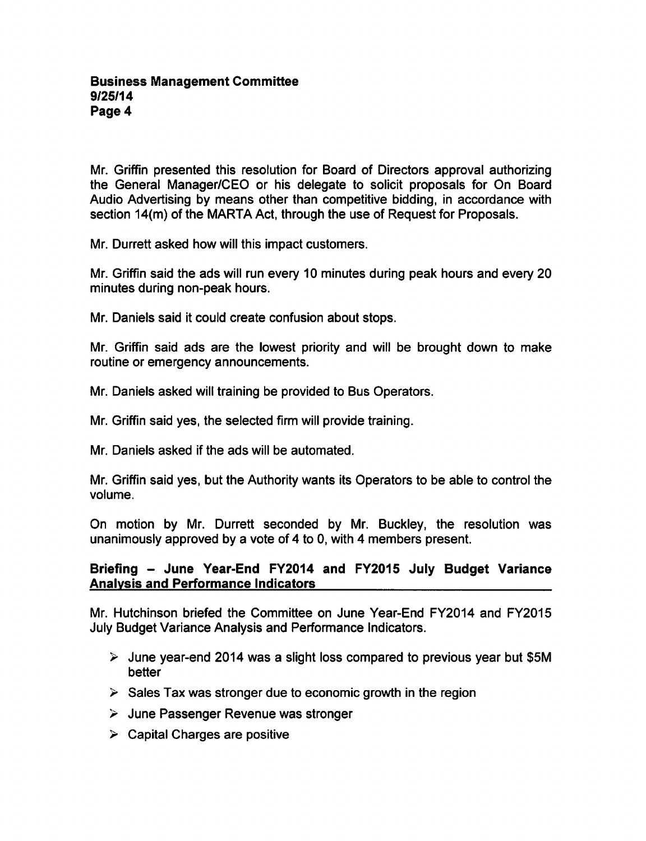Mr. Griffin presented this resolution for Board of Directors approval authorizing the General Manager/CEO or his delegate to solicit proposals for On Board Audio Advertising by means other than competitive bidding, in accordance with section 14(m) of the MARTA Act, through the use of Request for Proposals.

Mr. Durrett asked how will this impact customers.

Mr. Griffin said the ads will run every 10 minutes during peak hours and every 20 minutes during non-peak hours.

Mr. Daniels said it could create confusion about stops.

Mr. Griffin said ads are the lowest priority and will be brought down to make routine or emergency announcements.

Mr. Daniels asked will training be provided to Bus Operators.

Mr. Griffin said yes, the selected firm will provide training.

Mr. Daniels asked if the ads will be automated.

Mr. Griffin said yes, but the Authority wants its Operators to be able to control the volume.

On motion by Mr. Durrett seconded by Mr. Buckley, the resolution was unanimously approved by a vote of  $4$  to 0, with  $4$  members present.

## Briefing - June Year-End FY2014 and FY2015 July Budget Variance Analysis and Performance Indicators

Mr. Hutchinson briefed the Committee on June Year-End FY2014 and FY2015 July Budget Variance Analysis and Performance Indicators.

- $\triangleright$  June year-end 2014 was a slight loss compared to previous year but \$5M better
- $\geq$  Sales Tax was stronger due to economic growth in the region
- $\geq$  June Passenger Revenue was stronger
- $\triangleright$  Capital Charges are positive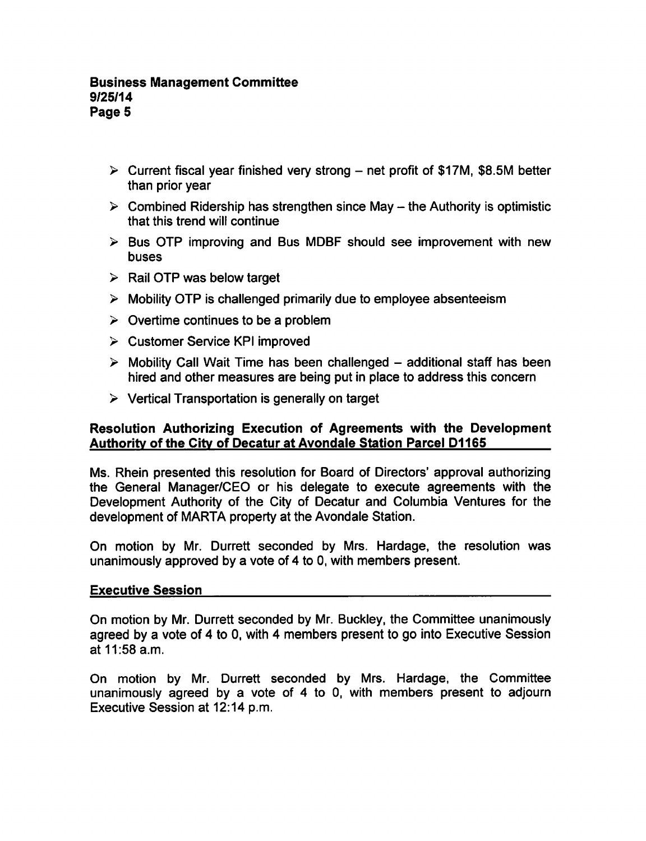### Business Management Committee 9/25/14 Page 5

- $\triangleright$  Current fiscal year finished very strong net profit of \$17M, \$8.5M better than prior year
- $\triangleright$  Combined Ridership has strengthen since May the Authority is optimistic that this trend will continue
- $\triangleright$  Bus OTP improving and Bus MDBF should see improvement with new buses
- $\triangleright$  Rail OTP was below target
- $\triangleright$  Mobility OTP is challenged primarily due to employee absenteeism
- $\geq$  Overtime continues to be a problem
- Customer Service KPI improved
- $\triangleright$  Mobility Call Wait Time has been challenged  $-$  additional staff has been hired and other measures are being put in place to address this concern
- $\triangleright$  Vertical Transportation is generally on target

## Resolution Authorizing Execution of Agreements with the Development Authority of the City of Decatur at Avondale Station Parcel D1165

Ms. Rhein presented this resolution for Board of Directors' approval authorizing the General Manager/CEO or his delegate to execute agreements with the Development Authority of the City of Decatur and Columbia Ventures for the development of MARTA property at the Avondale Station.

On motion by Mr. Durrett seconded by Mrs. Hardage, the resolution was unanimously approved by a vote of 4 to 0, with members present.

#### Executive Session

On motion by Mr. Durrett seconded by Mr. Buckley, the Committee unanimously agreed by a vote of 4 to 0, with 4 members present to go into Executive Session at 11:58 a.m.

On motion by Mr. Durrett seconded by Mrs. Hardage, the Committee unanimously agreed by a vote of  $4$  to  $0$ , with members present to adjourn Executive Session at 12:14 p.m.